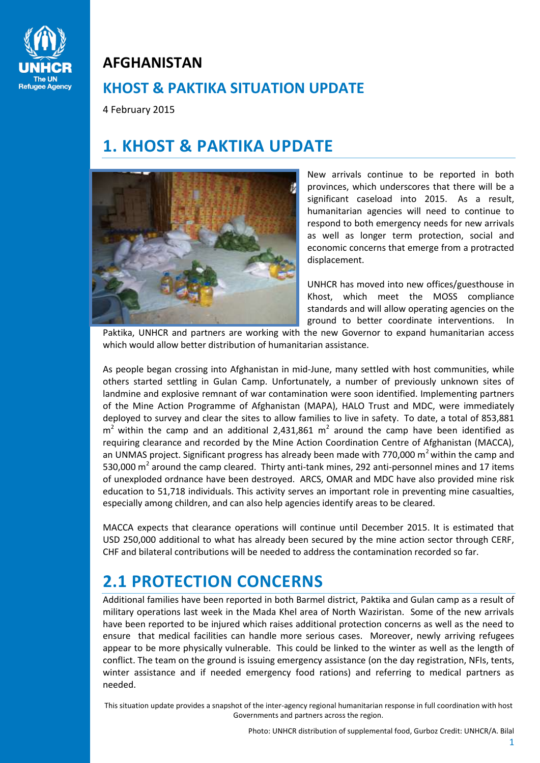

### **AFGHANISTAN**

## **KHOST & PAKTIKA SITUATION UPDATE**

4 February 2015

# **1. KHOST & PAKTIKA UPDATE**



New arrivals continue to be reported in both provinces, which underscores that there will be a significant caseload into 2015. As a result, humanitarian agencies will need to continue to respond to both emergency needs for new arrivals as well as longer term protection, social and economic concerns that emerge from a protracted displacement.

UNHCR has moved into new offices/guesthouse in Khost, which meet the MOSS compliance standards and will allow operating agencies on the ground to better coordinate interventions. In

Paktika, UNHCR and partners are working with the new Governor to expand humanitarian access which would allow better distribution of humanitarian assistance.

As people began crossing into Afghanistan in mid-June, many settled with host communities, while others started settling in Gulan Camp. Unfortunately, a number of previously unknown sites of landmine and explosive remnant of war contamination were soon identified. Implementing partners of the Mine Action Programme of Afghanistan (MAPA), HALO Trust and MDC, were immediately deployed to survey and clear the sites to allow families to live in safety. To date, a total of 853,881  $m<sup>2</sup>$  within the camp and an additional 2,431,861  $m<sup>2</sup>$  around the camp have been identified as requiring clearance and recorded by the Mine Action Coordination Centre of Afghanistan (MACCA), an UNMAS project. Significant progress has already been made with 770,000  $m<sup>2</sup>$  within the camp and 530,000  $\text{m}^2$  around the camp cleared. Thirty anti-tank mines, 292 anti-personnel mines and 17 items of unexploded ordnance have been destroyed. ARCS, OMAR and MDC have also provided mine risk education to 51,718 individuals. This activity serves an important role in preventing mine casualties, especially among children, and can also help agencies identify areas to be cleared.

MACCA expects that clearance operations will continue until December 2015. It is estimated that USD 250,000 additional to what has already been secured by the mine action sector through CERF, CHF and bilateral contributions will be needed to address the contamination recorded so far.

# **2.1 PROTECTION CONCERNS**

Additional families have been reported in both Barmel district, Paktika and Gulan camp as a result of military operations last week in the Mada Khel area of North Waziristan. Some of the new arrivals have been reported to be injured which raises additional protection concerns as well as the need to ensure that medical facilities can handle more serious cases. Moreover, newly arriving refugees appear to be more physically vulnerable. This could be linked to the winter as well as the length of conflict. The team on the ground is issuing emergency assistance (on the day registration, NFIs, tents, winter assistance and if needed emergency food rations) and referring to medical partners as needed.

This situation update provides a snapshot of the inter-agency regional humanitarian response in full coordination with host Governments and partners across the region.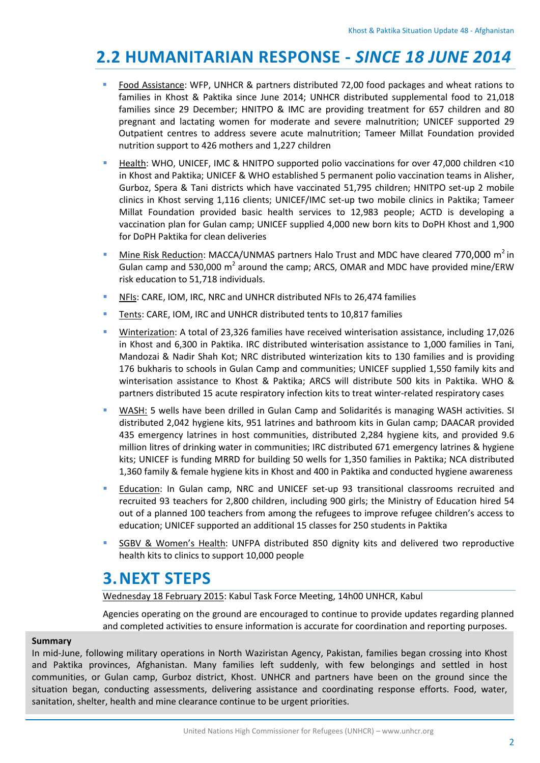# **2.2 HUMANITARIAN RESPONSE -** *SINCE 18 JUNE 2014*

- Food Assistance: WFP, UNHCR & partners distributed 72,00 food packages and wheat rations to families in Khost & Paktika since June 2014; UNHCR distributed supplemental food to 21,018 families since 29 December; HNITPO & IMC are providing treatment for 657 children and 80 pregnant and lactating women for moderate and severe malnutrition; UNICEF supported 29 Outpatient centres to address severe acute malnutrition; Tameer Millat Foundation provided nutrition support to 426 mothers and 1,227 children
- Health: WHO, UNICEF, IMC & HNITPO supported polio vaccinations for over 47,000 children <10 in Khost and Paktika; UNICEF & WHO established 5 permanent polio vaccination teams in Alisher, Gurboz, Spera & Tani districts which have vaccinated 51,795 children; HNITPO set-up 2 mobile clinics in Khost serving 1,116 clients; UNICEF/IMC set-up two mobile clinics in Paktika; Tameer Millat Foundation provided basic health services to 12,983 people; ACTD is developing a vaccination plan for Gulan camp; UNICEF supplied 4,000 new born kits to DoPH Khost and 1,900 for DoPH Paktika for clean deliveries
- Mine Risk Reduction: MACCA/UNMAS partners Halo Trust and MDC have cleared 770,000 m<sup>2</sup> in Gulan camp and 530,000  $m^2$  around the camp; ARCS, OMAR and MDC have provided mine/ERW risk education to 51,718 individuals.
- NFIs: CARE, IOM, IRC, NRC and UNHCR distributed NFIs to 26,474 families
- Tents: CARE, IOM, IRC and UNHCR distributed tents to 10,817 families
- Winterization: A total of 23,326 families have received winterisation assistance, including 17,026 in Khost and 6,300 in Paktika. IRC distributed winterisation assistance to 1,000 families in Tani, Mandozai & Nadir Shah Kot; NRC distributed winterization kits to 130 families and is providing 176 bukharis to schools in Gulan Camp and communities; UNICEF supplied 1,550 family kits and winterisation assistance to Khost & Paktika; ARCS will distribute 500 kits in Paktika. WHO & partners distributed 15 acute respiratory infection kits to treat winter-related respiratory cases
- WASH: 5 wells have been drilled in Gulan Camp and Solidarités is managing WASH activities. SI distributed 2,042 hygiene kits, 951 latrines and bathroom kits in Gulan camp; DAACAR provided 435 emergency latrines in host communities, distributed 2,284 hygiene kits, and provided 9.6 million litres of drinking water in communities; IRC distributed 671 emergency latrines & hygiene kits; UNICEF is funding MRRD for building 50 wells for 1,350 families in Paktika; NCA distributed 1,360 family & female hygiene kits in Khost and 400 in Paktika and conducted hygiene awareness
- **EXECUCATE:** Education: In Gulan camp, NRC and UNICEF set-up 93 transitional classrooms recruited and recruited 93 teachers for 2,800 children, including 900 girls; the Ministry of Education hired 54 out of a planned 100 teachers from among the refugees to improve refugee children's access to education; UNICEF supported an additional 15 classes for 250 students in Paktika
- SGBV & Women's Health: UNFPA distributed 850 dignity kits and delivered two reproductive health kits to clinics to support 10,000 people

## **3.NEXT STEPS**

Wednesday 18 February 2015: Kabul Task Force Meeting, 14h00 UNHCR, Kabul

Agencies operating on the ground are encouraged to continue to provide updates regarding planned and completed activities to ensure information is accurate for coordination and reporting purposes.

#### **Summary**

In mid-June, following military operations in North Waziristan Agency, Pakistan, families began crossing into Khost and Paktika provinces, Afghanistan. Many families left suddenly, with few belongings and settled in host communities, or Gulan camp, Gurboz district, Khost. UNHCR and partners have been on the ground since the situation began, conducting assessments, delivering assistance and coordinating response efforts. Food, water, sanitation, shelter, health and mine clearance continue to be urgent priorities.